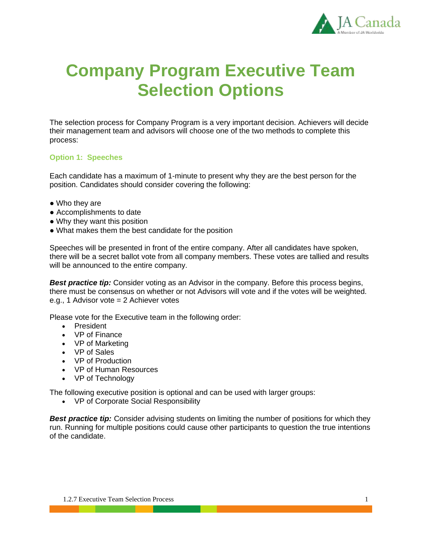

## **Company Program Executive Team Selection Options**

The selection process for Company Program is a very important decision. Achievers will decide their management team and advisors will choose one of the two methods to complete this process:

## **Option 1: Speeches**

Each candidate has a maximum of 1-minute to present why they are the best person for the position. Candidates should consider covering the following:

- Who they are
- Accomplishments to date
- Why they want this position
- What makes them the best candidate for the position

Speeches will be presented in front of the entire company. After all candidates have spoken, there will be a secret ballot vote from all company members. These votes are tallied and results will be announced to the entire company.

**Best practice tip:** Consider voting as an Advisor in the company. Before this process begins, there must be consensus on whether or not Advisors will vote and if the votes will be weighted. e.g., 1 Advisor vote = 2 Achiever votes

Please vote for the Executive team in the following order:

- President
- VP of Finance
- VP of Marketing
- VP of Sales
- VP of Production
- VP of Human Resources
- VP of Technology

The following executive position is optional and can be used with larger groups:

• VP of Corporate Social Responsibility

**Best practice tip:** Consider advising students on limiting the number of positions for which they run. Running for multiple positions could cause other participants to question the true intentions of the candidate.